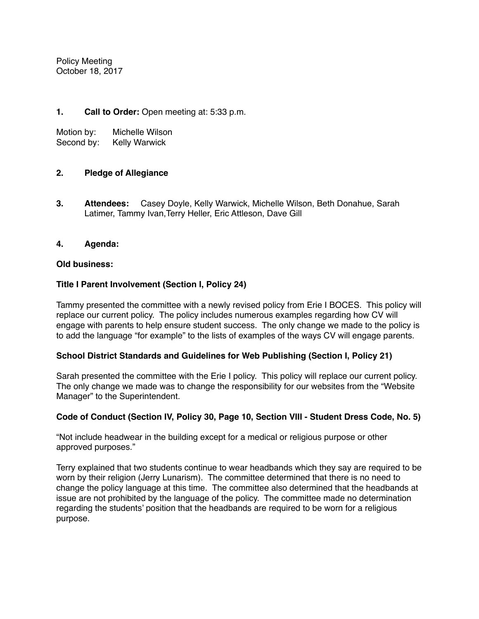Policy Meeting October 18, 2017

# **1. Call to Order:** Open meeting at: 5:33 p.m.

Motion by: Michelle Wilson Second by: Kelly Warwick

# **2. Pledge of Allegiance**

**3. Attendees:** Casey Doyle, Kelly Warwick, Michelle Wilson, Beth Donahue, Sarah Latimer, Tammy Ivan,Terry Heller, Eric Attleson, Dave Gill

## **4. Agenda:**

#### **Old business:**

## **Title I Parent Involvement (Section I, Policy 24)**

Tammy presented the committee with a newly revised policy from Erie I BOCES. This policy will replace our current policy. The policy includes numerous examples regarding how CV will engage with parents to help ensure student success. The only change we made to the policy is to add the language "for example" to the lists of examples of the ways CV will engage parents.

## **School District Standards and Guidelines for Web Publishing (Section I, Policy 21)**

Sarah presented the committee with the Erie I policy. This policy will replace our current policy. The only change we made was to change the responsibility for our websites from the "Website Manager" to the Superintendent.

#### **Code of Conduct (Section IV, Policy 30, Page 10, Section VIII - Student Dress Code, No. 5)**

"Not include headwear in the building except for a medical or religious purpose or other approved purposes."

Terry explained that two students continue to wear headbands which they say are required to be worn by their religion (Jerry Lunarism). The committee determined that there is no need to change the policy language at this time. The committee also determined that the headbands at issue are not prohibited by the language of the policy. The committee made no determination regarding the students' position that the headbands are required to be worn for a religious purpose.